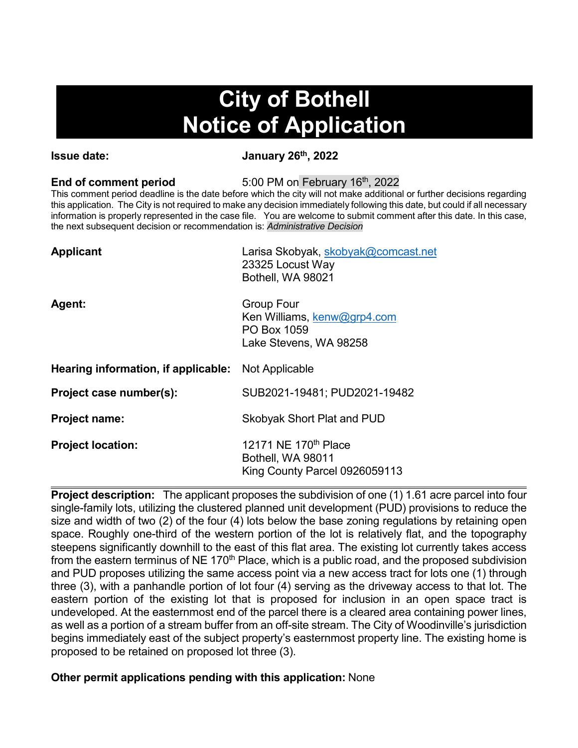# **City of Bothell Notice of Application**

**Issue date:** January 26<sup>th</sup>, 2022

**End of comment period** 5:00 PM on February 16<sup>th</sup>, 2022

This comment period deadline is the date before which the city will not make additional or further decisions regarding this application. The City is not required to make any decision immediately following this date, but could if all necessary information is properly represented in the case file. You are welcome to submit comment after this date. In this case, the next subsequent decision or recommendation is: *Administrative Decision*

| Larisa Skobyak, skobyak@comcast.net<br>23325 Locust Way<br>Bothell, WA 98021              |
|-------------------------------------------------------------------------------------------|
| <b>Group Four</b><br>Ken Williams, kenw@grp4.com<br>PO Box 1059<br>Lake Stevens, WA 98258 |
| <b>Hearing information, if applicable:</b> Not Applicable                                 |
| SUB2021-19481; PUD2021-19482                                                              |
| <b>Skobyak Short Plat and PUD</b>                                                         |
| 12171 NE 170 <sup>th</sup> Place<br>Bothell, WA 98011<br>King County Parcel 0926059113    |
|                                                                                           |

**Project description:** The applicant proposes the subdivision of one (1) 1.61 acre parcel into four single-family lots, utilizing the clustered planned unit development (PUD) provisions to reduce the size and width of two (2) of the four (4) lots below the base zoning regulations by retaining open space. Roughly one-third of the western portion of the lot is relatively flat, and the topography steepens significantly downhill to the east of this flat area. The existing lot currently takes access from the eastern terminus of NE 170<sup>th</sup> Place, which is a public road, and the proposed subdivision and PUD proposes utilizing the same access point via a new access tract for lots one (1) through three (3), with a panhandle portion of lot four (4) serving as the driveway access to that lot. The eastern portion of the existing lot that is proposed for inclusion in an open space tract is undeveloped. At the easternmost end of the parcel there is a cleared area containing power lines, as well as a portion of a stream buffer from an off-site stream. The City of Woodinville's jurisdiction begins immediately east of the subject property's easternmost property line. The existing home is proposed to be retained on proposed lot three (3).

## **Other permit applications pending with this application:** None